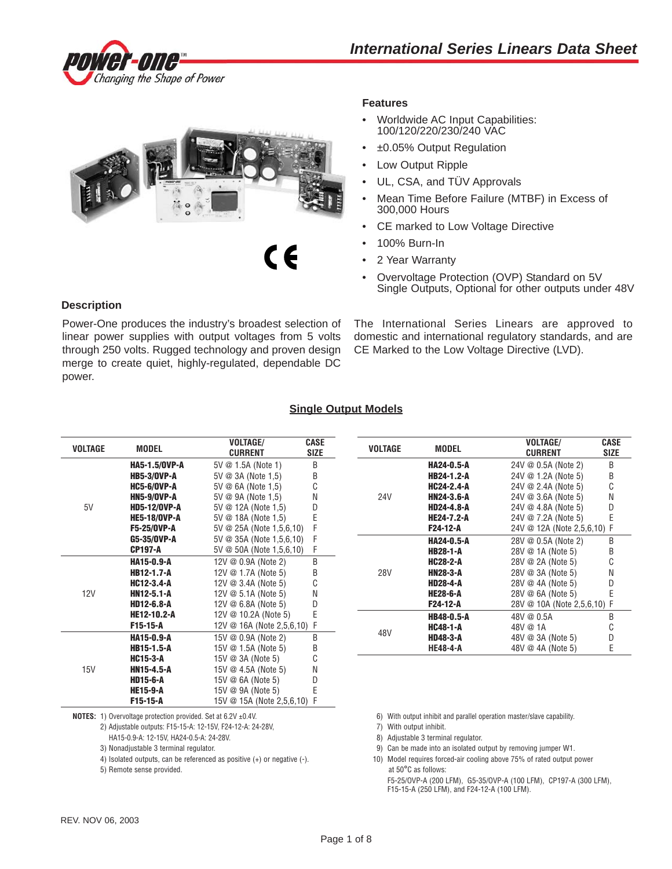



# **Features**

- Worldwide AC Input Capabilities: 100/120/220/230/240 VAC
- ±0.05% Output Regulation
- Low Output Ripple
- UL, CSA, and TÜV Approvals
- Mean Time Before Failure (MTBF) in Excess of 300,000 Hours
- CE marked to Low Voltage Directive
- 100% Burn-In
- 2 Year Warranty
- Overvoltage Protection (OVP) Standard on 5V Single Outputs, Optional for other outputs under 48V

## **Description**

Power-One produces the industry's broadest selection of linear power supplies with output voltages from 5 volts through 250 volts. Rugged technology and proven design merge to create quiet, highly-regulated, dependable DC power.

The International Series Linears are approved to domestic and international regulatory standards, and are CE Marked to the Low Voltage Directive (LVD).

## **Single Output Models**

| <b>VOLTAGE</b> | <b>MODEL</b>        | <b>VOLTAGE/</b><br><b>CURRENT</b> | CASE<br><b>SIZE</b> |                 | <b>VOLTAGE</b>    | <b>MODEL</b>        | <b>VOLTAGE/</b><br><b>CURRENT</b> | CASE<br><b>SIZE</b> |
|----------------|---------------------|-----------------------------------|---------------------|-----------------|-------------------|---------------------|-----------------------------------|---------------------|
|                | HA5-1.5/0VP-A       | 5V @ 1.5A (Note 1)                | B                   |                 |                   | <b>HA24-0.5-A</b>   | 24V @ 0.5A (Note 2)               | B                   |
|                | <b>HB5-3/0VP-A</b>  | $5V \otimes 3A$ (Note 1.5)        | B                   |                 |                   | <b>HB24-1.2-A</b>   | 24V @ 1.2A (Note 5)               | B                   |
|                | <b>HC5-6/0VP-A</b>  | 5V @ 6A (Note 1.5)                | C                   |                 | <b>HC24-2.4-A</b> | 24V @ 2.4A (Note 5) | C                                 |                     |
|                | <b>HN5-9/0VP-A</b>  | 5V @ 9A (Note 1.5)                | N                   | <b>24V</b>      |                   | <b>HN24-3.6-A</b>   | 24V @ 3.6A (Note 5)               | N                   |
| 5V             | <b>HD5-12/0VP-A</b> | 5V @ 12A (Note 1,5)               | D                   |                 |                   | <b>HD24-4.8-A</b>   | 24V @ 4.8A (Note 5)               | D                   |
|                | <b>HE5-18/OVP-A</b> | 5V @ 18A (Note 1.5)               | E                   |                 |                   | <b>HE24-7.2-A</b>   | 24V @ 7.2A (Note 5)               | E                   |
|                | <b>F5-25/0VP-A</b>  | $5V \otimes 25A$ (Note 1,5,6,10)  |                     |                 |                   | F24-12-A            | 24V @ 12A (Note 2,5,6,10) F       |                     |
|                | G5-35/0VP-A         | $5V \otimes 35A$ (Note 1,5,6,10)  | F                   |                 |                   | HA24-0.5-A          | 28V @ 0.5A (Note 2)               | В                   |
|                | <b>CP197-A</b>      | 5V @ 50A (Note 1,5,6,10)          | F                   |                 |                   | <b>HB28-1-A</b>     | 28V @ 1A (Note 5)                 | B                   |
|                | <b>HA15-0.9-A</b>   | 12V $@$ 0.9A (Note 2)             | Β                   |                 | <b>HC28-2-A</b>   | 28V @ 2A (Note 5)   | C                                 |                     |
|                | HB12-1.7-A          | 12V @ 1.7A (Note 5)               | B                   | <b>28V</b><br>C |                   | <b>HN28-3-A</b>     | 28V @ 3A (Note 5)                 | Ν                   |
|                | <b>HC12-3.4-A</b>   | 12V $\oslash$ 3.4A (Note 5)       |                     |                 |                   | <b>HD28-4-A</b>     | 28V @ 4A (Note 5)                 | D                   |
| 12V            | <b>HN12-5.1-A</b>   | 12V @ 5.1A (Note 5)               | N                   |                 |                   | <b>HE28-6-A</b>     | 28V @ 6A (Note 5)                 | F                   |
|                | <b>HD12-6.8-A</b>   | 12V $@$ 6.8A (Note 5)             | D                   |                 |                   | F24-12-A            | 28V @ 10A (Note 2,5,6,10) F       |                     |
|                | <b>HE12-10.2-A</b>  | 12V @ 10.2A (Note 5)              | E                   |                 |                   | <b>HB48-0.5-A</b>   | 48V @ 0.5A                        | B                   |
|                | F15-15-A            | 12V @ 16A (Note 2,5,6,10) F       |                     |                 |                   | <b>HC48-1-A</b>     | 48V @ 1A                          | С                   |
|                | <b>HA15-0.9-A</b>   | 15V @ 0.9A (Note 2)               | B                   |                 | 48V               | <b>HD48-3-A</b>     | 48V @ 3A (Note 5)                 | D                   |
|                | <b>HB15-1.5-A</b>   | 15V @ 1.5A (Note 5)               | B                   |                 |                   | <b>HE48-4-A</b>     | 48V @ 4A (Note 5)                 | E                   |
|                | <b>HC15-3-A</b>     | 15V @ 3A (Note 5)                 | C                   |                 |                   |                     |                                   |                     |
| 15V            | HN15-4.5-A          | 15V $@$ 4.5A (Note 5)             | N                   |                 |                   |                     |                                   |                     |
|                | <b>HD15-6-A</b>     | 15V @ 6A (Note 5)                 | D                   |                 |                   |                     |                                   |                     |
|                | <b>HE15-9-A</b>     | 15V @ 9A (Note 5)                 | E                   |                 |                   |                     |                                   |                     |

**NOTES:** 1) Overvoltage protection provided. Set at 6.2V ±0.4V. 6) With output inhibit and parallel operation master/slave capability.

2) Adjustable outputs: F15-15-A: 12-15V, F24-12-A: 24-28V, 7) With output inhibit.

HA15-0.9-A: 12-15V, HA24-0.5-A: 24-28V. 8) Adjustable 3 terminal regulator.

**F15-15-A** 15V @ 15A (Note 2,5,6,10) F

5) Remote sense provided. At 50°C as follows:

- 
- 3) Nonadjustable 3 terminal regulator. 9) Can be made into an isolated output by removing jumper W1.
- 4) Isolated outputs, can be referenced as positive (+) or negative (-). 10) Model requires forced-air cooling above 75% of rated output power

F5-25/OVP-A (200 LFM), G5-35/OVP-A (100 LFM), CP197-A (300 LFM), F15-15-A (250 LFM), and F24-12-A (100 LFM).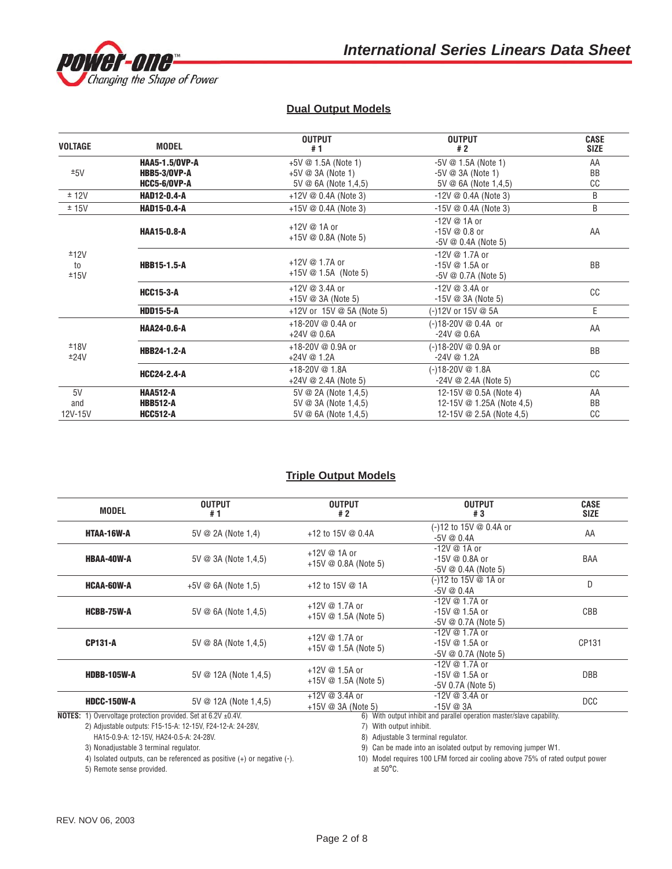

# **Dual Output Models**

| <b>VOLTAGE</b>       | <b>MODEL</b>                                                        | <b>OUTPUT</b><br>#1                                                          | <b>OUTPUT</b><br>#2                                                             | <b>CASE</b><br><b>SIZE</b> |
|----------------------|---------------------------------------------------------------------|------------------------------------------------------------------------------|---------------------------------------------------------------------------------|----------------------------|
| ±5V                  | <b>HAA5-1.5/0VP-A</b><br><b>HBB5-3/OVP-A</b><br><b>HCC5-6/0VP-A</b> | $+5V \tQ$ 1.5A (Note 1)<br>$+5V \otimes 3A$ (Note 1)<br>5V @ 6A (Note 1,4,5) | $-5V \t@ 1.5A (Note 1)$<br>$-5V \otimes 3A$ (Note 1)<br>5V @ 6A (Note 1,4,5)    | AA<br>BB<br>CC             |
| ± 12V                | <b>HAD12-0.4-A</b>                                                  | +12V $@$ 0.4A (Note 3)                                                       | $-12V \n\circledcirc 0.4A$ (Note 3)                                             | B                          |
| ± 15V                | <b>HAD15-0.4-A</b>                                                  | +15V $@$ 0.4A (Note 3)                                                       | $-15V \n\circledcirc 0.4A$ (Note 3)                                             | B                          |
|                      | <b>HAA15-0.8-A</b>                                                  | +12V @ 1A or<br>+15V $@$ 0.8A (Note 5)                                       | $-12V \n\circledcirc 1A$ or<br>$-15V \t@ 0.8$ or<br>$-5V \otimes 0.4A$ (Note 5) | AA                         |
| ±12V<br>to<br>±15V   | <b>HBB15-1.5-A</b>                                                  | +12V @ 1.7A or<br>+15V $@$ 1.5A (Note 5)                                     | $-12V \t@ 1.7A$ or<br>-15V @ 1.5A or<br>$-5V \otimes 0.7A$ (Note 5)             | <b>BB</b>                  |
|                      | <b>HCC15-3-A</b>                                                    | +12V @ 3.4A or<br>+15V $@$ 3A (Note 5)                                       | $-12V \t@ 3.4A$ or<br>$-15V \n\circledcirc 3A$ (Note 5)                         | cc                         |
|                      | <b>HDD15-5-A</b>                                                    | +12V or 15V @ 5A (Note 5)                                                    | (-)12V or 15V @ 5A                                                              | E                          |
|                      | <b>HAA24-0.6-A</b>                                                  | +18-20V @ 0.4A or<br>$+24V \& 0.6A$                                          | (-)18-20V @ 0.4A or<br>$-24V \& 0.6A$                                           | AA                         |
| ±18V<br>±24V         | <b>HBB24-1.2-A</b>                                                  | +18-20V @ 0.9A or<br>$+24V \otimes 1.2A$                                     | (-)18-20V @ 0.9A or<br>$-24V \n\circledcirc 1.2A$                               | <b>BB</b>                  |
|                      | <b>HCC24-2.4-A</b>                                                  | $+18-20V \n\circledcirc 1.8A$<br>+24V @ 2.4A (Note 5)                        | (-)18-20V @ 1.8A<br>$-24V \n\circledcirc 2.4A$ (Note 5)                         | cc                         |
| 5V<br>and<br>12V-15V | <b>HAA512-A</b><br><b>HBB512-A</b><br><b>HCC512-A</b>               | 5V @ 2A (Note 1,4,5)<br>5V @ 3A (Note 1,4,5)<br>$5V \oslash 6A$ (Note 1,4,5) | 12-15V @ 0.5A (Note 4)<br>12-15V @ 1.25A (Note 4,5)<br>12-15V @ 2.5A (Note 4,5) | AA<br><b>BB</b><br>CC      |

# **Triple Output Models**

| <b>MODEL</b>                                                              | <b>OUTPUT</b><br>#1                                                                                                                                    | <b>OUTPUT</b><br>#2                                                                                         | <b>OUTPUT</b><br>#3                                                    | <b>CASE</b><br><b>SIZE</b> |  |  |
|---------------------------------------------------------------------------|--------------------------------------------------------------------------------------------------------------------------------------------------------|-------------------------------------------------------------------------------------------------------------|------------------------------------------------------------------------|----------------------------|--|--|
| HTAA-16W-A                                                                | $5V \otimes 2A$ (Note 1,4)                                                                                                                             | (-)12 to 15V @ 0.4A or<br>+12 to 15V @ 0.4A<br>$-5V \otimes 0.4A$                                           |                                                                        | AA                         |  |  |
| <b>HBAA-40W-A</b>                                                         | $-12V \n\circledcirc 1A$ or<br>$+12V \otimes 1A$ or<br>5V @ 3A (Note 1,4,5)<br>-15V @ 0.8A or<br>+15V $@$ 0.8A (Note 5)<br>$-5V \otimes 0.4A$ (Note 5) |                                                                                                             |                                                                        | BAA                        |  |  |
| <b>HCAA-60W-A</b>                                                         | $+5V \oslash 6A$ (Note 1,5)                                                                                                                            | +12 to 15V @ 1A                                                                                             | (-)12 to 15V @ 1A or<br>$-5V \& 0.4A$                                  |                            |  |  |
| <b>HCBB-75W-A</b>                                                         | 5V @ 6A (Note 1,4,5)                                                                                                                                   | -12V @ 1.7A or<br>+12V @ 1.7A or<br>-15V @ 1.5A or<br>+15V $@$ 1.5A (Note 5)<br>$-5V \otimes 0.7A$ (Note 5) |                                                                        | CBB                        |  |  |
| <b>CP131-A</b>                                                            | 5V @ 8A (Note 1,4,5)                                                                                                                                   | -12V @ 1.7A or<br>+12V @ 1.7A or<br>-15V @ 1.5A or<br>+15V $@$ 1.5A (Note 5)<br>$-5V \otimes 0.7A$ (Note 5) |                                                                        | CP131                      |  |  |
| <b>HDBB-105W-A</b>                                                        | -12V @ 1.7A or<br>+12V @ 1.5A or<br>5V @ 12A (Note 1.4.5)<br>-15V @ 1.5A or<br>+15V $@$ 1.5A (Note 5)                                                  |                                                                                                             | $-5V$ 0.7A (Note 5)                                                    | <b>DBB</b>                 |  |  |
| <b>HDCC-150W-A</b>                                                        | 5V @ 12A (Note 1.4.5)                                                                                                                                  | +12V @ 3.4A or<br>$-12V \n\circledcirc 3.4A$ or<br>$-15V \n\circledcirc 3A$<br>+15V $@$ 3A (Note 5)         |                                                                        | <b>DCC</b>                 |  |  |
| <b>NOTES:</b> 1) Overvoltage protection provided. Set at 6.2V $\pm$ 0.4V. |                                                                                                                                                        |                                                                                                             | 6) With output inhibit and parallel operation master/slave capability. |                            |  |  |
|                                                                           | 2) Adjustable outputs: F15-15-A: 12-15V, F24-12-A: 24-28V,                                                                                             | 7) With output inhibit.                                                                                     |                                                                        |                            |  |  |
| HA15-0.9-A: 12-15V, HA24-0.5-A: 24-28V.                                   |                                                                                                                                                        | 8) Adjustable 3 terminal regulator.                                                                         |                                                                        |                            |  |  |
| 3) Nonadjustable 3 terminal regulator.                                    |                                                                                                                                                        |                                                                                                             | 9) Can be made into an isolated output by removing jumper W1.          |                            |  |  |

5) Remote sense provided.

9) Can be made into an isolated output by removing jumper W1.

4) Isolated outputs, can be referenced as positive (+) or negative (-).<br>5) Remote sense provided.<br>5) Remote sense provided.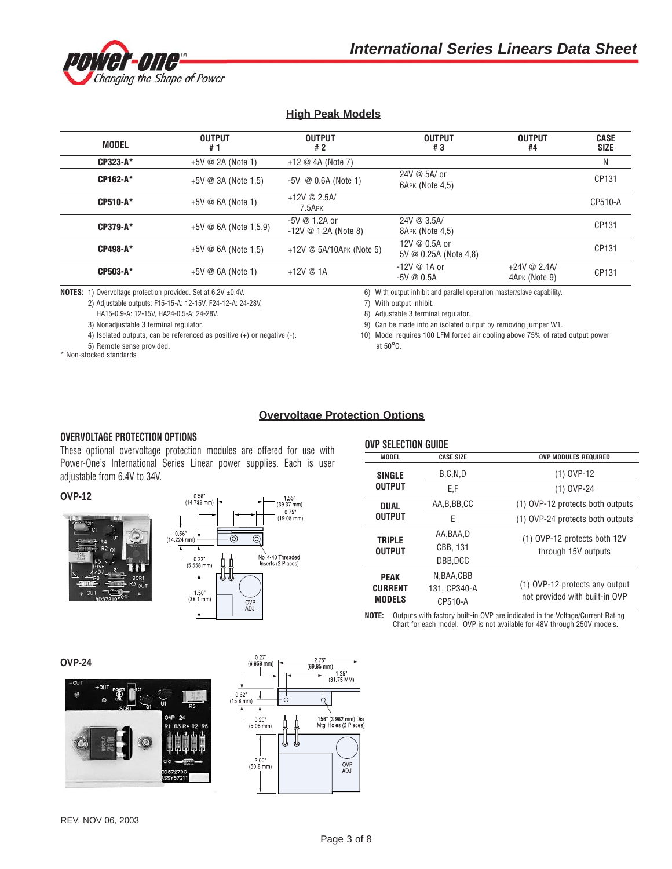

# **High Peak Models**

| <b>MODEL</b> | <b>OUTPUT</b><br>#1           | <b>OUTPUT</b><br>#2                                     | <b>OUTPUT</b><br>#3                            | <b>OUTPUT</b><br>#4             | <b>CASE</b><br><b>SIZE</b> |
|--------------|-------------------------------|---------------------------------------------------------|------------------------------------------------|---------------------------------|----------------------------|
| CP323-A*     | $+5V \otimes 2A$ (Note 1)     | +12 $@$ 4A (Note 7)                                     |                                                |                                 | N                          |
| CP162-A*     | $+5V \otimes 3A$ (Note 1,5)   | $-5V \t@ 0.6A (Note 1)$                                 | 24V @ 5A/ or<br>6APK (Note 4,5)                |                                 | CP131                      |
| CP510-A*     | $+5V \otimes 6A$ (Note 1)     | +12V @ $2.5A/$<br>$7.5$ APK                             |                                                |                                 | CP510-A                    |
| CP379-A*     | $+5V \oslash 6A$ (Note 1,5,9) | $-5V \& 1.2A$ or<br>$-12V \n\circledcirc 1.2A$ (Note 8) | 24V@3.5A/<br>8APK (Note 4,5)                   |                                 | CP131                      |
| CP498-A*     | $+5V \oslash 6A$ (Note 1.5)   | +12V $@$ 5A/10APK (Note 5)                              | 12V @ 0.5A or<br>5V $\oslash$ 0.25A (Note 4,8) |                                 | CP131                      |
| CP503-A*     | $+5V \otimes 6A$ (Note 1)     | $+12V \& 1A$                                            | $-12V \n\circledcirc 1A$ or<br>$-5V \& 0.5A$   | $+24V \& 2.4A$<br>4APK (Note 9) | CP131                      |

**NOTES:** 1) Overvoltage protection provided. Set at 6.2V ±0.4V. 6) With output inhibit and parallel operation master/slave capability.

2) Adjustable outputs: F15-15-A: 12-15V, F24-12-A: 24-28V, 7) With output inhibit.

HA15-0.9-A: 12-15V, HA24-0.5-A: 24-28V. 8) Adjustable 3 terminal regulator.

5) Remote sense provided.  $\alpha$  at 50°C.

\* Non-stocked standards

3) Nonadjustable 3 terminal regulator. 9) Can be made into an isolated output by removing jumper W1.

4) Isolated outputs, can be referenced as positive (+) or negative (-). 10) Model requires 100 LFM forced air cooling above 75% of rated output power

# **Overvoltage Protection Options**

#### **OVERVOLTAGE PROTECTION OPTIONS**

These optional overvoltage protection modules are offered for use with Power-One's International Series Linear power supplies. Each is user adjustable from 6.4V to 34V.

**OVP-12**





| <b>OVP SELECTION GUIDE</b>                     |                                      |                                                                  |  |  |  |  |  |
|------------------------------------------------|--------------------------------------|------------------------------------------------------------------|--|--|--|--|--|
| <b>MODEL</b>                                   | <b>CASE SIZE</b>                     | <b>OVP MODULES REQUIRED</b>                                      |  |  |  |  |  |
| <b>SINGLE</b>                                  | B.C.N.D                              | $(1)$ OVP-12                                                     |  |  |  |  |  |
| <b>OUTPUT</b>                                  | E,F                                  | $(1)$ OVP-24                                                     |  |  |  |  |  |
| <b>DUAL</b>                                    | AA, B, BB, CC                        | (1) OVP-12 protects both outputs                                 |  |  |  |  |  |
| <b>OUTPUT</b>                                  | F                                    | (1) OVP-24 protects both outputs                                 |  |  |  |  |  |
| <b>TRIPLE</b><br><b>OUTPUT</b>                 | AA,BAA,D<br>CBB, 131<br>DBB.DCC      | (1) OVP-12 protects both 12V<br>through 15V outputs              |  |  |  |  |  |
| <b>PEAK</b><br><b>CURRENT</b><br><b>MODELS</b> | N.BAA.CBB<br>131. CP340-A<br>CP510-A | (1) OVP-12 protects any output<br>not provided with built-in OVP |  |  |  |  |  |

**NOTE:** Outputs with factory built-in OVP are indicated in the Voltage/Current Rating Chart for each model. OVP is not available for 48V through 250V models.

**OVP-24**



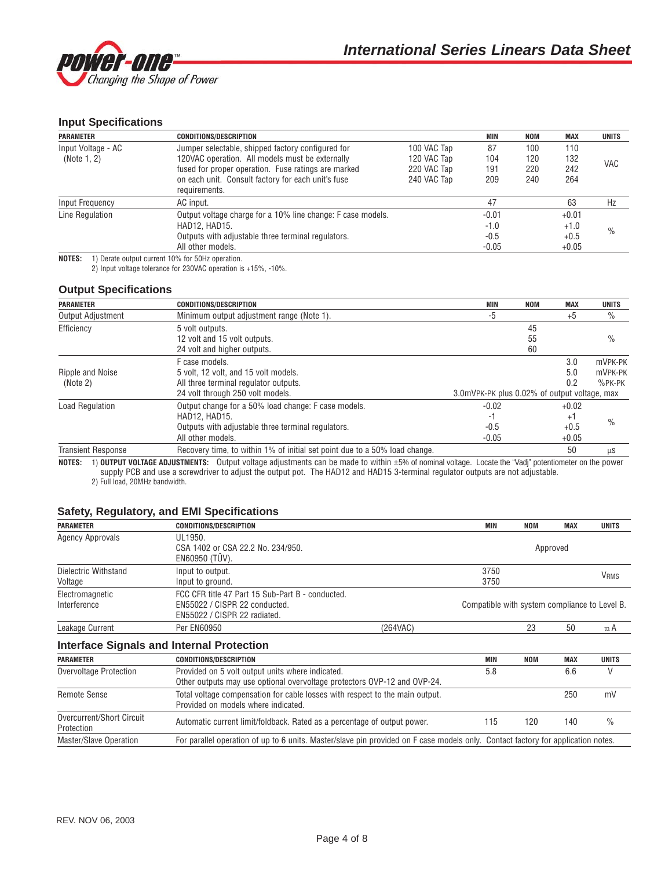

## **Input Specifications**

| <b>PARAMETER</b>   | <b>CONDITIONS/DESCRIPTION</b>                               |             | MIN     | <b>NOM</b> | MAX     | <b>UNITS</b>  |
|--------------------|-------------------------------------------------------------|-------------|---------|------------|---------|---------------|
| Input Voltage - AC | Jumper selectable, shipped factory configured for           | 100 VAC Tap | 87      | 100        | 110     |               |
| (Note 1, 2)        | 120VAC operation. All models must be externally             | 120 VAC Tap | 104     | 120        | 132     |               |
|                    | fused for proper operation. Fuse ratings are marked         | 220 VAC Tap | 191     | 220        | 242     | VAC           |
|                    | on each unit. Consult factory for each unit's fuse          | 240 VAC Tap | 209     | 240        | 264     |               |
|                    | requirements.                                               |             |         |            |         |               |
| Input Frequency    | AC input.                                                   |             | 47      |            | 63      | Hz            |
| Line Regulation    | Output voltage charge for a 10% line change: F case models. |             | $-0.01$ |            | $+0.01$ |               |
|                    | HAD12, HAD15.                                               |             | $-1.0$  |            | $+1.0$  |               |
|                    | Outputs with adjustable three terminal regulators.          |             | $-0.5$  |            | $+0.5$  | $\frac{0}{0}$ |
|                    | All other models.                                           |             | $-0.05$ |            | $+0.05$ |               |

**NOTES:** 1) Derate output current 10% for 50Hz operation. 2) Input voltage tolerance for 230VAC operation is +15%, -10%.

#### **Output Specifications**

| <b>PARAMETER</b>          | <b>CONDITIONS/DESCRIPTION</b>                                              | <b>MIN</b>                                   | <b>NOM</b> | <b>MAX</b> | <b>UNITS</b>  |
|---------------------------|----------------------------------------------------------------------------|----------------------------------------------|------------|------------|---------------|
| Output Adjustment         | Minimum output adjustment range (Note 1).                                  | -5                                           |            | $+5$       | $\%$          |
| Efficiency                | 5 volt outputs.                                                            |                                              | 45         |            |               |
|                           | 12 volt and 15 volt outputs.                                               |                                              | 55         |            | $\frac{0}{0}$ |
|                           | 24 volt and higher outputs.                                                |                                              | 60         |            |               |
|                           | F case models.                                                             |                                              |            | 3.0        | mVPK-PK       |
| Ripple and Noise          | 5 volt, 12 volt, and 15 volt models.                                       |                                              |            | 5.0        | mVPK-PK       |
| (Note 2)                  | All three terminal regulator outputs.                                      |                                              |            | 0.2        | $%$ PK-PK     |
|                           | 24 volt through 250 volt models.                                           | 3.0mVPK-PK plus 0.02% of output voltage, max |            |            |               |
| Load Regulation           | Output change for a 50% load change: F case models.                        | $-0.02$                                      |            | $+0.02$    |               |
|                           | <b>HAD12, HAD15.</b>                                                       | -1                                           |            | $^{+1}$    |               |
|                           | Outputs with adjustable three terminal regulators.                         | $-0.5$                                       |            | $+0.5$     | $\%$          |
|                           | All other models.                                                          | $-0.05$                                      |            | $+0.05$    |               |
| <b>Transient Response</b> | Recovery time, to within 1% of initial set point due to a 50% load change. |                                              |            | 50         | $\mu$ S       |

**NOTES:** 1) **OUTPUT VOLTAGE ADJUSTMENTS:** Output voltage adjustments can be made to within ±5% of nominal voltage. Locate the "Vadj" potentiometer on the power supply PCB and use a screwdriver to adjust the output pot. The HAD12 and HAD15 3-terminal regulator outputs are not adjustable. 2) Full load, 20MHz bandwidth.

#### **Safety, Regulatory, and EMI Specifications**

| <b>PARAMETER</b>          | <b>CONDITIONS/DESCRIPTION</b>                                                                                                    | MIN        | <b>NOM</b>                                    | <b>MAX</b> | <b>UNITS</b>           |
|---------------------------|----------------------------------------------------------------------------------------------------------------------------------|------------|-----------------------------------------------|------------|------------------------|
| <b>Agency Approvals</b>   | UL1950.                                                                                                                          |            |                                               |            |                        |
|                           | CSA 1402 or CSA 22.2 No. 234/950.                                                                                                |            |                                               | Approved   |                        |
|                           | EN60950 (TUV).                                                                                                                   |            |                                               |            |                        |
| Dielectric Withstand      | Input to output.                                                                                                                 | 3750       |                                               |            | <b>V<sub>RMS</sub></b> |
| Voltage                   | Input to ground.                                                                                                                 |            | 3750                                          |            |                        |
| Electromagnetic           | FCC CFR title 47 Part 15 Sub-Part B - conducted.                                                                                 |            |                                               |            |                        |
| Interference              | EN55022 / CISPR 22 conducted.                                                                                                    |            | Compatible with system compliance to Level B. |            |                        |
|                           | EN55022 / CISPR 22 radiated.                                                                                                     |            |                                               |            |                        |
| Leakage Current           | <b>Per EN60950</b><br>(264VAC)                                                                                                   |            | 23                                            | 50         | m A                    |
|                           | <b>Interface Signals and Internal Protection</b>                                                                                 |            |                                               |            |                        |
| <b>PARAMETER</b>          | <b>CONDITIONS/DESCRIPTION</b>                                                                                                    | <b>MIN</b> | <b>NOM</b>                                    | <b>MAX</b> | <b>UNITS</b>           |
| Overvoltage Protection    | Provided on 5 volt output units where indicated.                                                                                 | 5.8        |                                               | 6.6        | V                      |
|                           | Other outputs may use optional overvoltage protectors OVP-12 and OVP-24.                                                         |            |                                               |            |                        |
| <b>Remote Sense</b>       | Total voltage compensation for cable losses with respect to the main output.                                                     |            |                                               | 250        | mV                     |
|                           | Provided on models where indicated.                                                                                              |            |                                               |            |                        |
| Overcurrent/Short Circuit | Automatic current limit/foldback. Rated as a percentage of output power.                                                         |            | 120<br>115                                    | 140        | $\frac{0}{0}$          |
| Protection                |                                                                                                                                  |            |                                               |            |                        |
| Master/Slave Operation    | For parallel operation of up to 6 units. Master/slave pin provided on F case models only. Contact factory for application notes. |            |                                               |            |                        |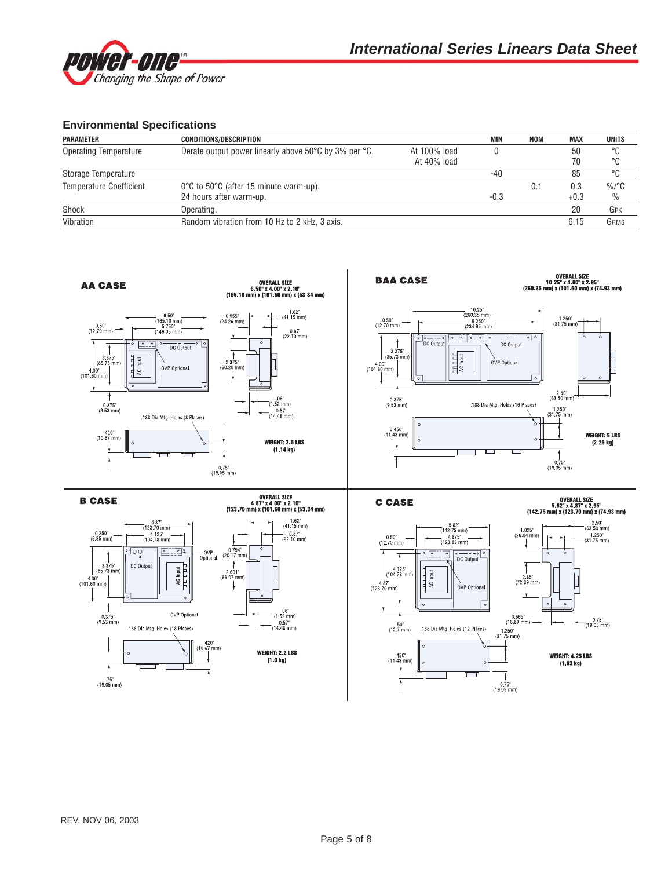

### **Environmental Specifications**

| <b>PARAMETER</b>               | <b>CONDITIONS/DESCRIPTION</b>                               |              | <b>MIN</b> | NOM | <b>MAX</b> | <b>UNITS</b> |
|--------------------------------|-------------------------------------------------------------|--------------|------------|-----|------------|--------------|
| Operating Temperature          | Derate output power linearly above 50°C by 3% per °C.       | At 100% load |            |     | 50         | °C           |
|                                |                                                             | At 40% load  |            |     |            | °C           |
| Storage Temperature            |                                                             |              | -40        |     | 85         | °C           |
| <b>Temperature Coefficient</b> | $0^{\circ}$ C to 50 $^{\circ}$ C (after 15 minute warm-up). |              |            | 0.1 | 0.3        | $\%$ /°C     |
|                                | 24 hours after warm-up.                                     |              | $-0.3$     |     | $+0.3$     | $\%$         |
| Shock                          | Operating.                                                  |              |            |     | 20         | GPK          |
| Vibration                      | Random vibration from 10 Hz to 2 kHz, 3 axis.               |              |            |     | 6.15       | GRMS         |

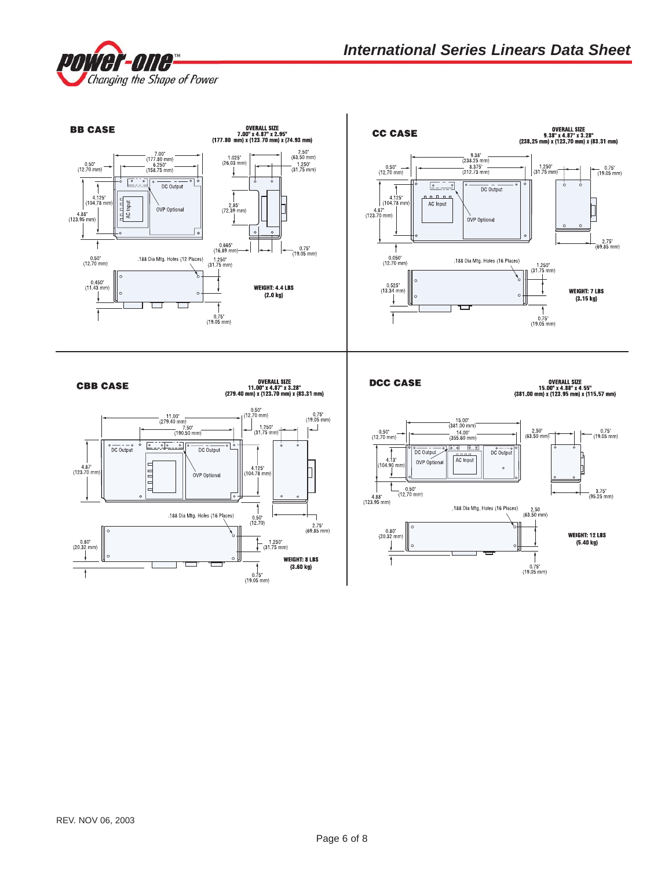

0VERALL SIZE<br>7.00" x 4.87" x 2.95"<br>(177.80 mm) x (123.70 mm) x (74.93 mm) 0VERALL SIZE<br>9.38" x 4.87" x 3.28"<br>(238.25 mm) x (123.70 mm) x (83.31 mm) **BB CASE CC CASE**  $\begin{array}{c} 7.00^{\circ} \\ (177.80 \text{ mm}) \\ 6.250^{\circ} \\ (158.75 \text{ mm}) \end{array}$  $2.50^{\circ}$ <br>(63.50 mm)  $\frac{9.38^{\circ}}{(238.25 \text{ mm})}$  $1.025$ <sup>\*</sup><br>(26.03 mm)  $0.50^{\circ}$ <br>(12.70 mm)  $-1.250^{\circ}$ <br>(31.75 mm)  $0.50^{\circ}$  - $-8.375 -$ <br>(212.73 mm) 1.250'<br>(31.75 mm)  $\frac{0.75^{\circ}}{(19.05^{\circ} \text{mm})}$ ग  $\overline{\phantom{a}}$  $\frac{1}{1-\frac{1}{2}}$  $\overline{DC}$  Output  $\boxed{\circ}$ DC Output  $n n n n$ 4.125"<br>104.78 mr  $\frac{\text{max}}{\text{AC Input}}$ 4.125'<br>(104.78 mm) AC Input 2.85"<br>(72.39 mm) OVP Optional  $4.87^{\circ}$ <br>(123.70 mm)  $4.88'$ <br>(123.95 mm) OVP Optional  $\sqrt{6}$  $\frac{2.75^{\circ}}{(69.85 \text{ mm})}$  $\mathfrak t$  $0.665^{\circ}$ <br>(16.89 mm)- $-0.75^{\circ}$  (19.05 mm) t  $0.50^{\circ}$ <br>(12.70 mm) .<br>188 Dia Mtg. Holes (12 Places)  $0.050^{\circ}$ <br>(12.70 mm)  $1.250^{\circ}$ <br>(31.75 mm) .188 Dia Mtg. Holes (16 Places) 1.250"<br>(31.75 mm)  $\circ$  $0.450^{\circ}$ <br>(11.43 mm) **WEIGHT: 4.4 LBS**  $0.525$ <br>(13.34 mm) **WEIGHT: 7 LBS**  $(2.0 kg)$  $(3.15 \text{ kg})$ Г ł 7  $0.75^{\circ}$  (19.05 mm)  $0.75^{\circ}$  (19.05 mm) OVERALL SIZE<br>11.00" x 4.87" x 3.28"<br>(279.40 mm) x (123.70 mm) x (83.31 mm) OVERALL SIZE<br>15.00" x 4.88" x 4.55"<br>(381.00 mm) x (123.95 mm) x (115.57 mm) **DCC CASE CBB CASE**  $0.50^{\circ}$ <br>(12.70 mm)  $0.75^{\circ}$  (19.05 mm)  $\frac{11.00^{\circ}}{(279.40 \text{ mm})}$  $\begin{array}{c} 15.00' \\ (381.00 \text{ mm}) \\ -14.00'' \\ (355.60 \text{ mm}) \end{array}$  $\overline{\phantom{a}}$  $\begin{pmatrix} 1.250^{\circ} \\ (31.75 \text{ mm}) \end{pmatrix}$  $\frac{7.50^{\circ}}{(190.50^{\circ} \text{mm})}$ ┙  $0.50^{\circ}$ <br>(12.70 mm)  $2.50^{\circ}$ <br>(63.50 mm)  $- \frac{0.75^{\circ}}{(19.05 \text{ mm})}$  $\frac{1}{\sqrt{2}}$  $\sqrt{\circ}$  $^{\circ}$  DC Output  $\circ$ ة ך <u>ata lata</u>  $\overline{DC}$  Output  $\overline{DC}$  Output  $\overline{DC\text{ Output}}$ AC Input  $413'$ OVP Optional  $104.90$  $4.87$ <br>(123.70 mm 4.125"<br>104.78 mm) h  $\circ$  $1 1 1 1$ OVP Optional L  $-$  0.50'<br>(12.70 mm)  $-3.75^{\circ}$ <br>(95.25 mm) ه ا  $4.88^{\circ}$ <br>(123.95 mm) .188 Dia Mtg. Holes (16 Places)  $\frac{2.50}{(63.50)}$  mm) .188 Dia Mtg. Holes (16 Places)  $0.50^{\circ}$ <br>(12.70) ٦  $2.75^{\circ}$ <br>(69.85 mm)  $0.80^{\circ}$ <br>(20.32 mm) **WEIGHT: 12 LBS**  $0.80^{\circ}$ <br>(20.32 mm)  $+$   $1.250^{\circ}$ <br>(31.75 mm) -- ------ - - - - -<br>(5.40 kg) **WEIGHT: 8 LBS**  $\bar{1}$  $(3.60 kg)$  $0.75^{\circ}$ <br>(19.05 mm)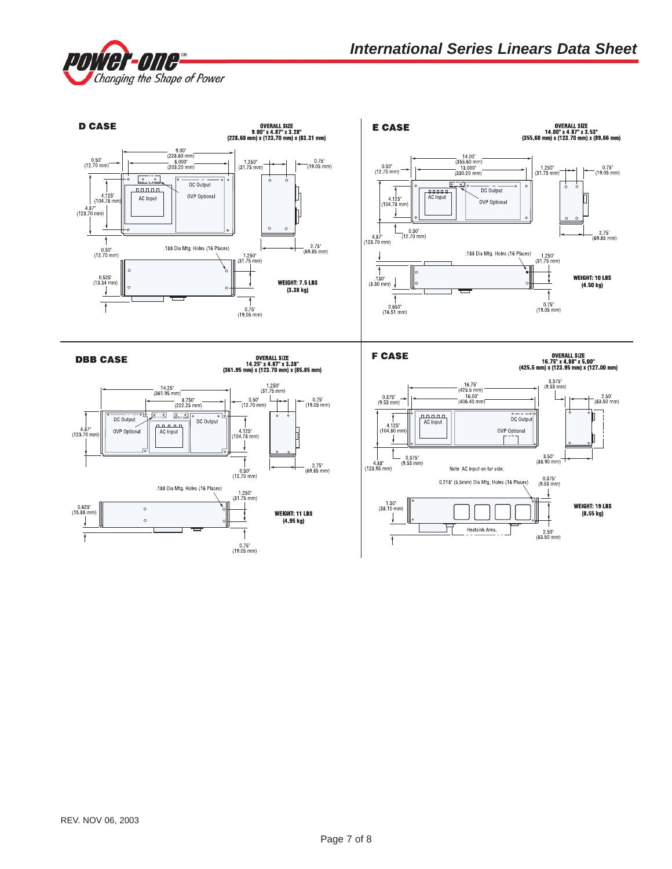